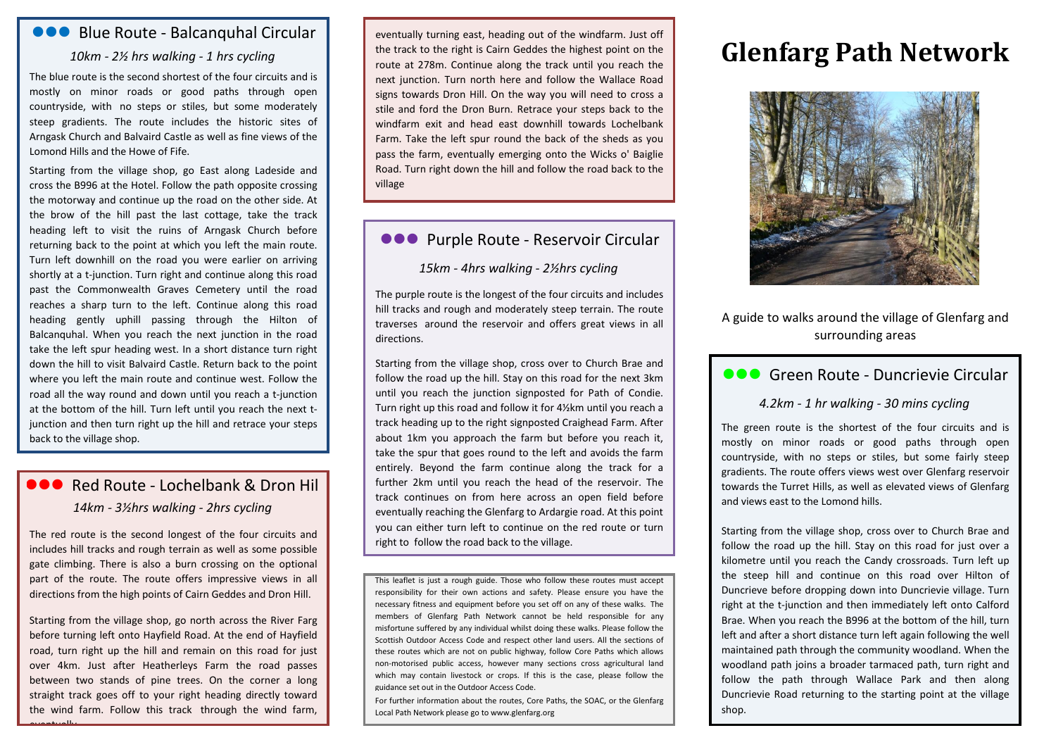## **ODO** Blue Route - Balcanquhal Circular

#### *10km - 2½ hrs walking - 1 hrs cycling*

The blue route is the second shortest of the four circuits and is mostly on minor roads or good paths through open countryside, with no steps or stiles, but some moderately steep gradients. The route includes the historic sites of Arngask Church and Balvaird Castle as well as fine views of the Lomond Hills and the Howe of Fife.

Starting from the village shop, go East along Ladeside and cross the B996 at the Hotel. Follow the path opposite crossing the motorway and continue up the road on the other side. At the brow of the hill past the last cottage, take the track heading left to visit the ruins of Arngask Church before returning back to the point at which you left the main route. Turn left downhill on the road you were earlier on arriving shortly at a t-junction. Turn right and continue along this road past the Commonwealth Graves Cemetery until the road reaches a sharp turn to the left. Continue along this road heading gently uphill passing through the Hilton of Balcanquhal. When you reach the next junction in the road take the left spur heading west. In a short distance turn right down the hill to visit Balvaird Castle. Return back to the point where you left the main route and continue west. Follow the road all the way round and down until you reach a t-junction at the bottom of the hill. Turn left until you reach the next tjunction and then turn right up the hill and retrace your steps back to the village shop.

# **OOO** Red Route - Lochelbank & Dron Hill *14km - 3½hrs walking - 2hrs cycling*

The red route is the second longest of the four circuits and includes hill tracks and rough terrain as well as some possible gate climbing. There is also a burn crossing on the optional part of the route. The route offers impressive views in all directions from the high points of Cairn Geddes and Dron Hill.

Starting from the village shop, go north across the River Farg before turning left onto Hayfield Road. At the end of Hayfield road, turn right up the hill and remain on this road for just over 4km. Just after Heatherleys Farm the road passes between two stands of pine trees. On the corner a long straight track goes off to your right heading directly toward the wind farm. Follow this track through the wind farm,

eventually

eventually turning east, heading out of the windfarm. Just off the track to the right is Cairn Geddes the highest point on the route at 278m. Continue along the track until you reach the next junction. Turn north here and follow the Wallace Road signs towards Dron Hill. On the way you will need to cross a stile and ford the Dron Burn. Retrace your steps back to the windfarm exit and head east downhill towards Lochelbank Farm. Take the left spur round the back of the sheds as you pass the farm, eventually emerging onto the Wicks o' Baiglie Road. Turn right down the hill and follow the road back to the village

## **ODO** Purple Route - Reservoir Circular

*15km - 4hrs walking - 2½hrs cycling*

The purple route is the longest of the four circuits and includes hill tracks and rough and moderately steep terrain. The route traverses around the reservoir and offers great views in all directions.

Starting from the village shop, cross over to Church Brae and follow the road up the hill. Stay on this road for the next 3km until you reach the junction signposted for Path of Condie. Turn right up this road and follow it for 4½km until you reach a track heading up to the right signposted Craighead Farm. After about 1km you approach the farm but before you reach it, take the spur that goes round to the left and avoids the farm entirely. Beyond the farm continue along the track for a further 2km until you reach the head of the reservoir. The track continues on from here across an open field before eventually reaching the Glenfarg to Ardargie road. At this point you can either turn left to continue on the red route or turn right to follow the road back to the village.

This leaflet is just a rough guide. Those who follow these routes must accept responsibility for their own actions and safety. Please ensure you have the necessary fitness and equipment before you set off on any of these walks. The members of Glenfarg Path Network cannot be held responsible for any misfortune suffered by any individual whilst doing these walks. Please follow the Scottish Outdoor Access Code and respect other land users. All the sections of these routes which are not on public highway, follow Core Paths which allows non-motorised public access, however many sections cross agricultural land which may contain livestock or crops. If this is the case, please follow the guidance set out in the Outdoor Access Code.

For further information about the routes, Core Paths, the SOAC, or the Glenfarg Local Path Network please go to www.glenfarg.org

# **Glenfarg Path Network**



A guide to walks around the village of Glenfarg and surrounding areas

## **COO** Green Route - Duncrievie Circular

#### *4.2km - 1 hr walking - 30 mins cycling*

The green route is the shortest of the four circuits and is mostly on minor roads or good paths through open countryside, with no steps or stiles, but some fairly steep gradients. The route offers views west over Glenfarg reservoir towards the Turret Hills, as well as elevated views of Glenfarg and views east to the Lomond hills.

Starting from the village shop, cross over to Church Brae and follow the road up the hill. Stay on this road for just over a kilometre until you reach the Candy crossroads. Turn left up the steep hill and continue on this road over Hilton of Duncrieve before dropping down into Duncrievie village. Turn right at the t-junction and then immediately left onto Calford Brae. When you reach the B996 at the bottom of the hill, turn left and after a short distance turn left again following the well maintained path through the community woodland. When the woodland path joins a broader tarmaced path, turn right and follow the path through Wallace Park and then along Duncrievie Road returning to the starting point at the village shop.